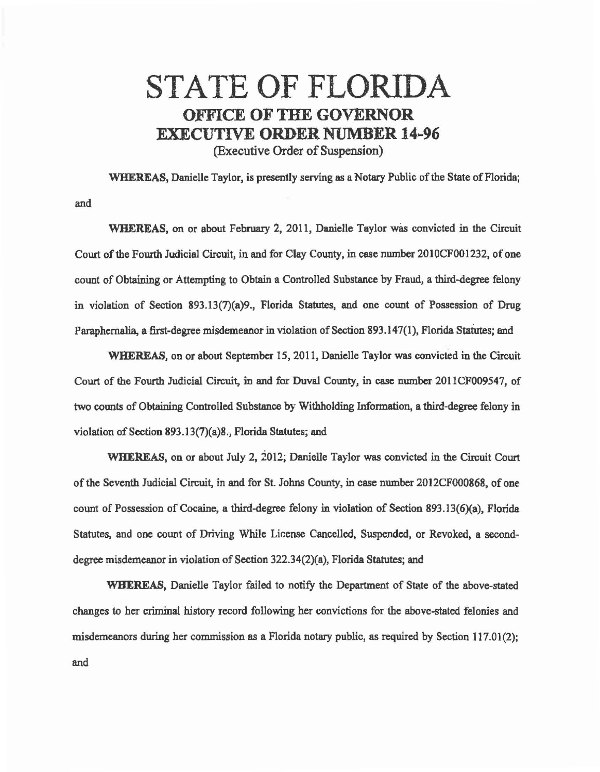## STATE OF FLORIDA OFFICE OF THE GOVERNOR EXECUTIVE ORDER NUMBER 14-96 (Executive Order of Suspension)

WHEREAS, Danielle Taylor, is presently serving as a Notary Public of the State of Florida; and

WHEREAS, on or about February 2, 2011, Danielle Taylor was convicted in the Circuit Court of the Fourth Judicial Circuit, in and for Clay County, in case nwnber 2010CF001232, of one count of Obtaining or Attempting to Obtain a Controlled Substance by Fraud, a third-degree felony in violation of Section 893.13(7)(a)9., Florida Statutes, and one count of Possession of Drug Paraphernalia, a first-degree misdemeanor in violation of Section 893.147(1 ), Florida Statutes; and

WHEREAS, on or about September 15, 2011, Danielle Taylor was convicted in the Circuit Court of the Fourth Judicial Circuit, in and for Duval County, in case number 2011CF009547, of two counts of Obtaining Controlled Substance by Withholding Infonnation, a third-degree felony in violation of Section 893.13(7)(a)8., Florida Statutes; and

WHEREAS, on or about July 2, 2012; Danielle Taylor was convicted in the Circuit Court of the Seventh Judicial Circuit, in and for St. Johns County, in case number 2012CF000868, of one count of Possession of Cocaine, a third-degree felony in violation of Section 893.13(6)(a), Florida Statutes, and one count of Driving While License Cancelled, Suspended, or Revoked, a seconddegree misdemeanor in violation of Section  $322.34(2)(a)$ , Florida Statutes; and

WHEREAS, Danielle Taylor failed to notify the Department of State of the above-stated changes to her criminal history record following her convictions for the above-stated felonies and misdemeanors during her commission *as* a Florida notary public, *as* required by Section 117.01(2); and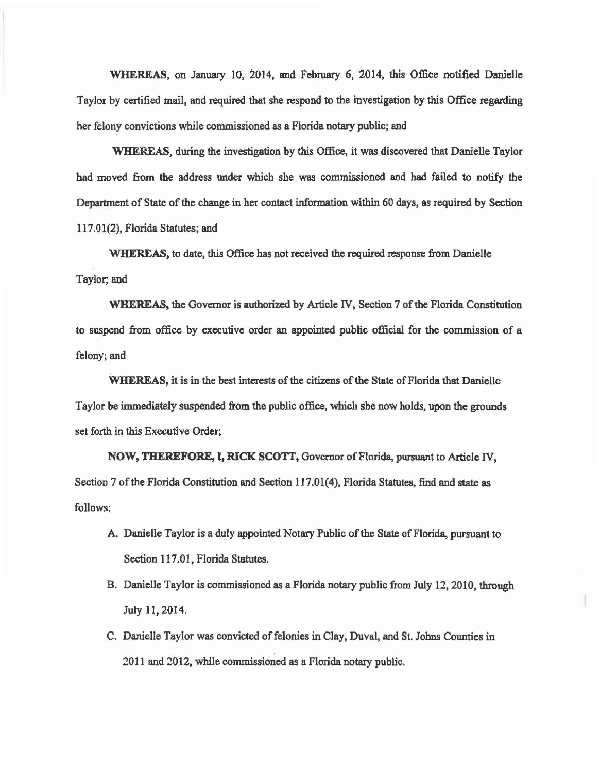WHEREAS, on January 10, 2014, and February 6, 2014, this Office notified Danielle Taylor by certified mail, and required that she respond to the investigation by this Office regarding her felony convictions while commissioned as a Florida notary public; and

WHEREAS, during the investigation by this Office, it was discovered that Danielle Taylor had moved from the address under which she was commissioned and had failed to notify the Department of State of the change in her contact information within 60 days, as required by Section 117.01(2), Florida Statutes; and

WHEREAS, to date, this Office has not received the required response from Danielle Taylor; and

WHEREAS, the Governor is authorized by Article IV, Section 7 of the Florida Constitution to suspend from office by executive order an appointed public official for the commission of a felony; and

WHEREAS, it is in the best interests of the citizens of the State of Florida that Danielle Taylor be immediately suspended from the public office, which she now holds, upon the grounds set forth in this Executive Order;

NOW, THEREFORE, I, RICK SCOTT, Governor of Florida, pursuant to Article IV, Section 7 of the Florida Constitution and Section 117.01(4), Florida Statutes, find and state as follows:

- A. Danielle Taylor is a duly appointed Notary Public of the State of Florida, pursuant to Section 117.01, Florida Statutes.
- B. Danielle Taylor is commissioned as a Florida notary public from July 12, 2010, through July 11, 2014.
- C. Danielle Taylor was convicted of felonies in Clay, Duval, and St. Johns Counties in 2011 and 2012, while commissioned as a Florida notary public.